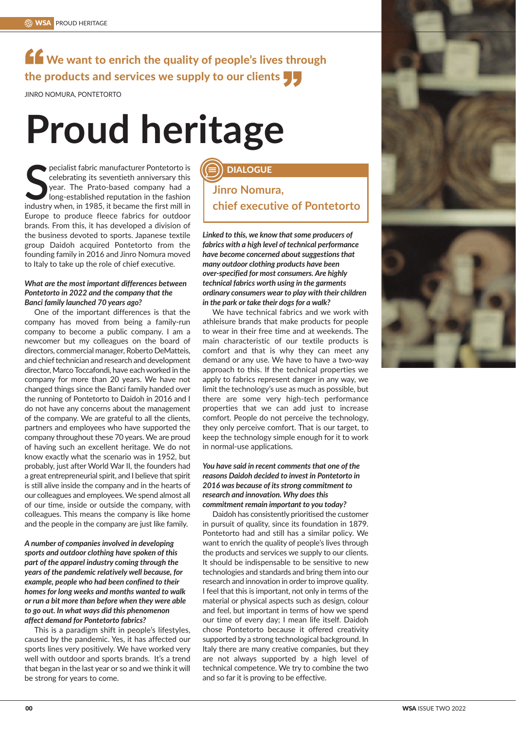# K We want to enrich the quality of people's lives through the products and services we supply to our clients<br>JINRO NOMURA, PONTETORTO

JINRO NOMURA, PONTETORTO

# **Proud heritage**

**SEE ALL ANCE THE PRECENT POILERT POILERT SERVICE SERVICE SURFACT SPEAK TO LARK THE PRECENTIFICATION IN THE FIRST MILL IN THE FIRST MILL IN THE FIRST MILL IN THE FIRST MILL IN THE FIRST MILL IN THE FIRST MILL IN THE FIRST** pecialist fabric manufacturer Pontetorto is celebrating its seventieth anniversary this year. The Prato-based company had a Iong-established reputation in the fashion Europe to produce fleece fabrics for outdoor brands. From this, it has developed a division of the business devoted to sports. Japanese textile group Daidoh acquired Pontetorto from the founding family in 2016 and Jinro Nomura moved to Italy to take up the role of chief executive.

#### *What are the most important differences between Pontetorto in 2022 and the company that the Banci family launched 70 years ago?*

One of the important differences is that the company has moved from being a family-run company to become a public company. I am a newcomer but my colleagues on the board of directors, commercial manager, Roberto DeMatteis, and chief technician and research and development director, Marco Toccafondi, have each worked in the company for more than 20 years. We have not changed things since the Banci family handed over the running of Pontetorto to Daidoh in 2016 and I do not have any concerns about the management of the company. We are grateful to all the clients, partners and employees who have supported the company throughout these 70 years. We are proud of having such an excellent heritage. We do not know exactly what the scenario was in 1952, but probably, just after World War II, the founders had a great entrepreneurial spirit, and I believe that spirit is still alive inside the company and in the hearts of our colleagues and employees. We spend almost all of our time, inside or outside the company, with colleagues. This means the company is like home and the people in the company are just like family.

*A number of companies involved in developing sports and outdoor clothing have spoken of this part of the apparel industry coming through the years of the pandemic relatively well because, for example, people who had been confined to their homes for long weeks and months wanted to walk or run a bit more than before when they were able to go out. In what ways did this phenomenon affect demand for Pontetorto fabrics?*

This is a paradigm shift in people's lifestyles, caused by the pandemic. Yes, it has affected our sports lines very positively. We have worked very well with outdoor and sports brands. It's a trend that began in the last year or so and we think it will be strong for years to come.

# **DIALOGUE**

**Jinro Nomura, chief executive of Pontetorto**

*Linked to this, we know that some producers of fabrics with a high level of technical performance have become concerned about suggestions that many outdoor clothing products have been over-specified for most consumers. Are highly technical fabrics worth using in the garments ordinary consumers wear to play with their children in the park or take their dogs for a walk?*

We have technical fabrics and we work with athleisure brands that make products for people to wear in their free time and at weekends. The main characteristic of our textile products is comfort and that is why they can meet any demand or any use. We have to have a two-way approach to this. If the technical properties we apply to fabrics represent danger in any way, we limit the technology's use as much as possible, but there are some very high-tech performance properties that we can add just to increase comfort. People do not perceive the technology, they only perceive comfort. That is our target, to keep the technology simple enough for it to work in normal-use applications.

## *You have said in recent comments that one of the reasons Daidoh decided to invest in Pontetorto in 2016 was because of its strong commitment to research and innovation. Why does this commitment remain important to you today?*

Daidoh has consistently prioritised the customer in pursuit of quality, since its foundation in 1879. Pontetorto had and still has a similar policy. We want to enrich the quality of people's lives through the products and services we supply to our clients. It should be indispensable to be sensitive to new technologies and standards and bring them into our research and innovation in order to improve quality. I feel that this is important, not only in terms of the material or physical aspects such as design, colour and feel, but important in terms of how we spend our time of every day; I mean life itself. Daidoh chose Pontetorto because it offered creativity supported by a strong technological background. In Italy there are many creative companies, but they are not always supported by a high level of technical competence. We try to combine the two and so far it is proving to be effective.